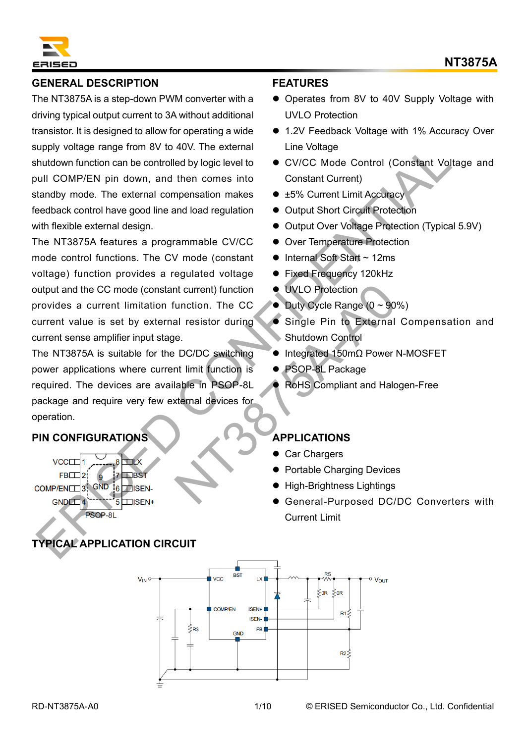

# **GENERAL DESCRIPTION**

The NT3875A is a step-down PWM converter with a driving typical output current to 3A without additional transistor. It is designed to allow for operating a wide supply voltage range from 8V to 40V. The external shutdown function can be controlled by logic level to pull COMP/EN pin down, and then comes into standby mode. The external compensation makes feedback control have good line and load regulation with flexible external design.

The NT3875A features a programmable CV/CC mode control functions. The CV mode (constant voltage) function provides a regulated voltage output and the CC mode (constant current) function provides a current limitation function. The CC current value is set by external resistor during current sense amplifier input stage. ering from 80 to 400 The external<br>
intervieting angele from 80 to 400 The external<br>
thutdown function can be controlled by logic level to  $\sim$  CV/CC Mode Control (Constant Voltage)<br>
util COMP/EN pin down, and then comes in

The NT3875A is suitable for the DC/DC switching power applications where current limit function is required. The devices are available in PSOP-8L package and require very few external devices for operation. The CC CONTEXT ON SIMPLICATIONS<br>
May all resistor during<br>
DC/DC switching<br>
DC/DC switching<br>
Numeron Control<br>
DC/DC switching<br>
DC/DC switching<br>
May 2021-8L Package<br>
RoHS Compliant and Halc<br>
May 2021-8L Package<br>
RoHS Compli

# **PIN CONFIGURATIONS**

# **TYPICAL APPLICATION CIRCUIT**

#### **FEATURES**

- ⚫ Operates from 8V to 40V Supply Voltage with UVLO Protection
- 1.2V Feedback Voltage with 1% Accuracy Over Line Voltage
- ⚫ CV/CC Mode Control (Constant Voltage and Constant Current)
- ±5% Current Limit Accuracy
- ⚫ Output Short Circuit Protection
- Output Over Voltage Protection (Typical 5.9V)
- ⚫ Over Temperature Protection
- Internal Soft Start ~ 12ms
- Fixed Frequency 120kHz
- UVLO Protection
- $\bullet$  Duty Cycle Range (0 ~ 90%)
- ⚫ Single Pin to External Compensation and Shutdown Control
- ⚫ Integrated 150mΩ Power N-MOSFET
- PSOP-8L Package
- ⚫ RoHS Compliant and Halogen-Free

# **APPLICATIONS**

- ⚫ Car Chargers
- ⚫ Portable Charging Devices
- ⚫ High-Brightness Lightings
- General-Purposed DC/DC Converters with Current Limit